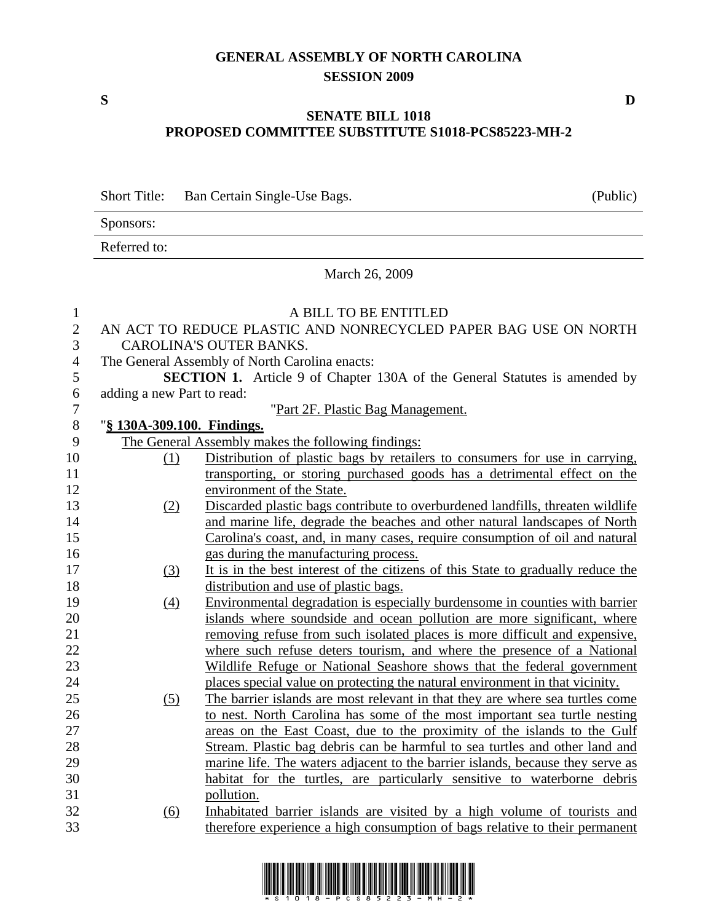## **GENERAL ASSEMBLY OF NORTH CAROLINA SESSION 2009**

## **SENATE BILL 1018 PROPOSED COMMITTEE SUBSTITUTE S1018-PCS85223-MH-2**

|                                | <b>Short Title:</b>        | Ban Certain Single-Use Bags.                                                                      | (Public) |
|--------------------------------|----------------------------|---------------------------------------------------------------------------------------------------|----------|
|                                | Sponsors:                  |                                                                                                   |          |
|                                | Referred to:               |                                                                                                   |          |
|                                |                            | March 26, 2009                                                                                    |          |
| $\mathbf{1}$                   |                            | A BILL TO BE ENTITLED                                                                             |          |
| $\mathbf{2}$<br>$\mathfrak{Z}$ |                            | AN ACT TO REDUCE PLASTIC AND NONRECYCLED PAPER BAG USE ON NORTH<br><b>CAROLINA'S OUTER BANKS.</b> |          |
| 4                              |                            | The General Assembly of North Carolina enacts:                                                    |          |
| 5                              |                            | <b>SECTION 1.</b> Article 9 of Chapter 130A of the General Statutes is amended by                 |          |
| 6                              | adding a new Part to read: |                                                                                                   |          |
| $\tau$                         |                            | "Part 2F. Plastic Bag Management.                                                                 |          |
| $\, 8$                         | "§ 130A-309.100. Findings. |                                                                                                   |          |
| 9                              |                            | The General Assembly makes the following findings:                                                |          |
| 10                             | (1)                        | Distribution of plastic bags by retailers to consumers for use in carrying,                       |          |
| 11                             |                            | transporting, or storing purchased goods has a detrimental effect on the                          |          |
| 12                             |                            | environment of the State.                                                                         |          |
| 13                             | (2)                        | Discarded plastic bags contribute to overburdened landfills, threaten wildlife                    |          |
| 14                             |                            | and marine life, degrade the beaches and other natural landscapes of North                        |          |
| 15                             |                            | Carolina's coast, and, in many cases, require consumption of oil and natural                      |          |
| 16                             |                            | gas during the manufacturing process.                                                             |          |
| 17                             | (3)                        | It is in the best interest of the citizens of this State to gradually reduce the                  |          |
| 18                             |                            | distribution and use of plastic bags.                                                             |          |
| 19                             | $\left(4\right)$           | Environmental degradation is especially burdensome in counties with barrier                       |          |
| 20                             |                            | islands where soundside and ocean pollution are more significant, where                           |          |
| 21                             |                            | removing refuse from such isolated places is more difficult and expensive,                        |          |
| 22                             |                            | where such refuse deters tourism, and where the presence of a National                            |          |
| 23                             |                            | Wildlife Refuge or National Seashore shows that the federal government                            |          |
| 24                             |                            | places special value on protecting the natural environment in that vicinity.                      |          |
| 25                             | (5)                        | The barrier islands are most relevant in that they are where sea turtles come                     |          |
| 26                             |                            | to nest. North Carolina has some of the most important sea turtle nesting                         |          |
| 27                             |                            | areas on the East Coast, due to the proximity of the islands to the Gulf                          |          |
| 28                             |                            | Stream. Plastic bag debris can be harmful to sea turtles and other land and                       |          |
| 29                             |                            | marine life. The waters adjacent to the barrier islands, because they serve as                    |          |
| 30                             |                            | habitat for the turtles, are particularly sensitive to waterborne debris                          |          |
| 31                             |                            | pollution.                                                                                        |          |
| 32                             | <u>(6)</u>                 | Inhabitated barrier islands are visited by a high volume of tourists and                          |          |
| 33                             |                            | therefore experience a high consumption of bags relative to their permanent                       |          |



**S D**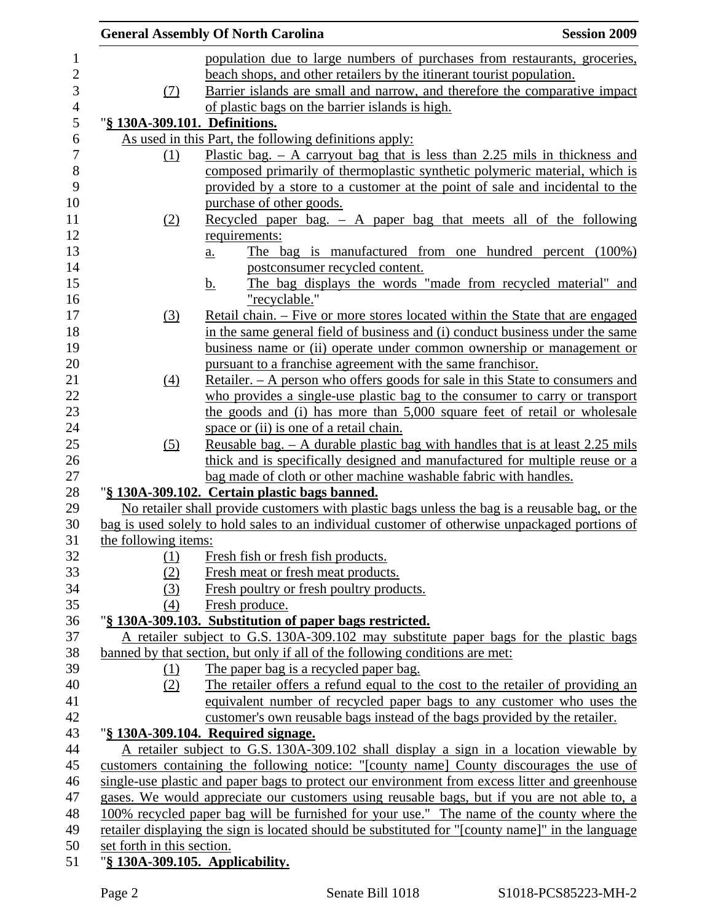|                                 | <b>Session 2009</b>                                                                                                                                                                                                                                                                                                                                                                                                                                                                                                                                                                                                                                                                                                                                                                                                                                                                                                                                                                                                                                                                                                                                                                                                                                                                                                                                                                                                                                                                                                                                                                                                                                                                                                                                                                                                                                                                                                                                                                                                                                                                                                                                                                                                                                                                                                                                                                                                                                                                                                                                                                                                                                                                                                                                                                                                                                                                                                                                                                                                                                                                                                                                                                                                                                                                                                                                                                                                                                   |
|---------------------------------|-------------------------------------------------------------------------------------------------------------------------------------------------------------------------------------------------------------------------------------------------------------------------------------------------------------------------------------------------------------------------------------------------------------------------------------------------------------------------------------------------------------------------------------------------------------------------------------------------------------------------------------------------------------------------------------------------------------------------------------------------------------------------------------------------------------------------------------------------------------------------------------------------------------------------------------------------------------------------------------------------------------------------------------------------------------------------------------------------------------------------------------------------------------------------------------------------------------------------------------------------------------------------------------------------------------------------------------------------------------------------------------------------------------------------------------------------------------------------------------------------------------------------------------------------------------------------------------------------------------------------------------------------------------------------------------------------------------------------------------------------------------------------------------------------------------------------------------------------------------------------------------------------------------------------------------------------------------------------------------------------------------------------------------------------------------------------------------------------------------------------------------------------------------------------------------------------------------------------------------------------------------------------------------------------------------------------------------------------------------------------------------------------------------------------------------------------------------------------------------------------------------------------------------------------------------------------------------------------------------------------------------------------------------------------------------------------------------------------------------------------------------------------------------------------------------------------------------------------------------------------------------------------------------------------------------------------------------------------------------------------------------------------------------------------------------------------------------------------------------------------------------------------------------------------------------------------------------------------------------------------------------------------------------------------------------------------------------------------------------------------------------------------------------------------------------------------------|
|                                 |                                                                                                                                                                                                                                                                                                                                                                                                                                                                                                                                                                                                                                                                                                                                                                                                                                                                                                                                                                                                                                                                                                                                                                                                                                                                                                                                                                                                                                                                                                                                                                                                                                                                                                                                                                                                                                                                                                                                                                                                                                                                                                                                                                                                                                                                                                                                                                                                                                                                                                                                                                                                                                                                                                                                                                                                                                                                                                                                                                                                                                                                                                                                                                                                                                                                                                                                                                                                                                                       |
|                                 |                                                                                                                                                                                                                                                                                                                                                                                                                                                                                                                                                                                                                                                                                                                                                                                                                                                                                                                                                                                                                                                                                                                                                                                                                                                                                                                                                                                                                                                                                                                                                                                                                                                                                                                                                                                                                                                                                                                                                                                                                                                                                                                                                                                                                                                                                                                                                                                                                                                                                                                                                                                                                                                                                                                                                                                                                                                                                                                                                                                                                                                                                                                                                                                                                                                                                                                                                                                                                                                       |
|                                 |                                                                                                                                                                                                                                                                                                                                                                                                                                                                                                                                                                                                                                                                                                                                                                                                                                                                                                                                                                                                                                                                                                                                                                                                                                                                                                                                                                                                                                                                                                                                                                                                                                                                                                                                                                                                                                                                                                                                                                                                                                                                                                                                                                                                                                                                                                                                                                                                                                                                                                                                                                                                                                                                                                                                                                                                                                                                                                                                                                                                                                                                                                                                                                                                                                                                                                                                                                                                                                                       |
|                                 |                                                                                                                                                                                                                                                                                                                                                                                                                                                                                                                                                                                                                                                                                                                                                                                                                                                                                                                                                                                                                                                                                                                                                                                                                                                                                                                                                                                                                                                                                                                                                                                                                                                                                                                                                                                                                                                                                                                                                                                                                                                                                                                                                                                                                                                                                                                                                                                                                                                                                                                                                                                                                                                                                                                                                                                                                                                                                                                                                                                                                                                                                                                                                                                                                                                                                                                                                                                                                                                       |
|                                 |                                                                                                                                                                                                                                                                                                                                                                                                                                                                                                                                                                                                                                                                                                                                                                                                                                                                                                                                                                                                                                                                                                                                                                                                                                                                                                                                                                                                                                                                                                                                                                                                                                                                                                                                                                                                                                                                                                                                                                                                                                                                                                                                                                                                                                                                                                                                                                                                                                                                                                                                                                                                                                                                                                                                                                                                                                                                                                                                                                                                                                                                                                                                                                                                                                                                                                                                                                                                                                                       |
|                                 |                                                                                                                                                                                                                                                                                                                                                                                                                                                                                                                                                                                                                                                                                                                                                                                                                                                                                                                                                                                                                                                                                                                                                                                                                                                                                                                                                                                                                                                                                                                                                                                                                                                                                                                                                                                                                                                                                                                                                                                                                                                                                                                                                                                                                                                                                                                                                                                                                                                                                                                                                                                                                                                                                                                                                                                                                                                                                                                                                                                                                                                                                                                                                                                                                                                                                                                                                                                                                                                       |
|                                 |                                                                                                                                                                                                                                                                                                                                                                                                                                                                                                                                                                                                                                                                                                                                                                                                                                                                                                                                                                                                                                                                                                                                                                                                                                                                                                                                                                                                                                                                                                                                                                                                                                                                                                                                                                                                                                                                                                                                                                                                                                                                                                                                                                                                                                                                                                                                                                                                                                                                                                                                                                                                                                                                                                                                                                                                                                                                                                                                                                                                                                                                                                                                                                                                                                                                                                                                                                                                                                                       |
|                                 |                                                                                                                                                                                                                                                                                                                                                                                                                                                                                                                                                                                                                                                                                                                                                                                                                                                                                                                                                                                                                                                                                                                                                                                                                                                                                                                                                                                                                                                                                                                                                                                                                                                                                                                                                                                                                                                                                                                                                                                                                                                                                                                                                                                                                                                                                                                                                                                                                                                                                                                                                                                                                                                                                                                                                                                                                                                                                                                                                                                                                                                                                                                                                                                                                                                                                                                                                                                                                                                       |
|                                 |                                                                                                                                                                                                                                                                                                                                                                                                                                                                                                                                                                                                                                                                                                                                                                                                                                                                                                                                                                                                                                                                                                                                                                                                                                                                                                                                                                                                                                                                                                                                                                                                                                                                                                                                                                                                                                                                                                                                                                                                                                                                                                                                                                                                                                                                                                                                                                                                                                                                                                                                                                                                                                                                                                                                                                                                                                                                                                                                                                                                                                                                                                                                                                                                                                                                                                                                                                                                                                                       |
|                                 |                                                                                                                                                                                                                                                                                                                                                                                                                                                                                                                                                                                                                                                                                                                                                                                                                                                                                                                                                                                                                                                                                                                                                                                                                                                                                                                                                                                                                                                                                                                                                                                                                                                                                                                                                                                                                                                                                                                                                                                                                                                                                                                                                                                                                                                                                                                                                                                                                                                                                                                                                                                                                                                                                                                                                                                                                                                                                                                                                                                                                                                                                                                                                                                                                                                                                                                                                                                                                                                       |
|                                 |                                                                                                                                                                                                                                                                                                                                                                                                                                                                                                                                                                                                                                                                                                                                                                                                                                                                                                                                                                                                                                                                                                                                                                                                                                                                                                                                                                                                                                                                                                                                                                                                                                                                                                                                                                                                                                                                                                                                                                                                                                                                                                                                                                                                                                                                                                                                                                                                                                                                                                                                                                                                                                                                                                                                                                                                                                                                                                                                                                                                                                                                                                                                                                                                                                                                                                                                                                                                                                                       |
|                                 |                                                                                                                                                                                                                                                                                                                                                                                                                                                                                                                                                                                                                                                                                                                                                                                                                                                                                                                                                                                                                                                                                                                                                                                                                                                                                                                                                                                                                                                                                                                                                                                                                                                                                                                                                                                                                                                                                                                                                                                                                                                                                                                                                                                                                                                                                                                                                                                                                                                                                                                                                                                                                                                                                                                                                                                                                                                                                                                                                                                                                                                                                                                                                                                                                                                                                                                                                                                                                                                       |
|                                 |                                                                                                                                                                                                                                                                                                                                                                                                                                                                                                                                                                                                                                                                                                                                                                                                                                                                                                                                                                                                                                                                                                                                                                                                                                                                                                                                                                                                                                                                                                                                                                                                                                                                                                                                                                                                                                                                                                                                                                                                                                                                                                                                                                                                                                                                                                                                                                                                                                                                                                                                                                                                                                                                                                                                                                                                                                                                                                                                                                                                                                                                                                                                                                                                                                                                                                                                                                                                                                                       |
|                                 |                                                                                                                                                                                                                                                                                                                                                                                                                                                                                                                                                                                                                                                                                                                                                                                                                                                                                                                                                                                                                                                                                                                                                                                                                                                                                                                                                                                                                                                                                                                                                                                                                                                                                                                                                                                                                                                                                                                                                                                                                                                                                                                                                                                                                                                                                                                                                                                                                                                                                                                                                                                                                                                                                                                                                                                                                                                                                                                                                                                                                                                                                                                                                                                                                                                                                                                                                                                                                                                       |
|                                 |                                                                                                                                                                                                                                                                                                                                                                                                                                                                                                                                                                                                                                                                                                                                                                                                                                                                                                                                                                                                                                                                                                                                                                                                                                                                                                                                                                                                                                                                                                                                                                                                                                                                                                                                                                                                                                                                                                                                                                                                                                                                                                                                                                                                                                                                                                                                                                                                                                                                                                                                                                                                                                                                                                                                                                                                                                                                                                                                                                                                                                                                                                                                                                                                                                                                                                                                                                                                                                                       |
|                                 |                                                                                                                                                                                                                                                                                                                                                                                                                                                                                                                                                                                                                                                                                                                                                                                                                                                                                                                                                                                                                                                                                                                                                                                                                                                                                                                                                                                                                                                                                                                                                                                                                                                                                                                                                                                                                                                                                                                                                                                                                                                                                                                                                                                                                                                                                                                                                                                                                                                                                                                                                                                                                                                                                                                                                                                                                                                                                                                                                                                                                                                                                                                                                                                                                                                                                                                                                                                                                                                       |
|                                 |                                                                                                                                                                                                                                                                                                                                                                                                                                                                                                                                                                                                                                                                                                                                                                                                                                                                                                                                                                                                                                                                                                                                                                                                                                                                                                                                                                                                                                                                                                                                                                                                                                                                                                                                                                                                                                                                                                                                                                                                                                                                                                                                                                                                                                                                                                                                                                                                                                                                                                                                                                                                                                                                                                                                                                                                                                                                                                                                                                                                                                                                                                                                                                                                                                                                                                                                                                                                                                                       |
|                                 |                                                                                                                                                                                                                                                                                                                                                                                                                                                                                                                                                                                                                                                                                                                                                                                                                                                                                                                                                                                                                                                                                                                                                                                                                                                                                                                                                                                                                                                                                                                                                                                                                                                                                                                                                                                                                                                                                                                                                                                                                                                                                                                                                                                                                                                                                                                                                                                                                                                                                                                                                                                                                                                                                                                                                                                                                                                                                                                                                                                                                                                                                                                                                                                                                                                                                                                                                                                                                                                       |
|                                 |                                                                                                                                                                                                                                                                                                                                                                                                                                                                                                                                                                                                                                                                                                                                                                                                                                                                                                                                                                                                                                                                                                                                                                                                                                                                                                                                                                                                                                                                                                                                                                                                                                                                                                                                                                                                                                                                                                                                                                                                                                                                                                                                                                                                                                                                                                                                                                                                                                                                                                                                                                                                                                                                                                                                                                                                                                                                                                                                                                                                                                                                                                                                                                                                                                                                                                                                                                                                                                                       |
|                                 |                                                                                                                                                                                                                                                                                                                                                                                                                                                                                                                                                                                                                                                                                                                                                                                                                                                                                                                                                                                                                                                                                                                                                                                                                                                                                                                                                                                                                                                                                                                                                                                                                                                                                                                                                                                                                                                                                                                                                                                                                                                                                                                                                                                                                                                                                                                                                                                                                                                                                                                                                                                                                                                                                                                                                                                                                                                                                                                                                                                                                                                                                                                                                                                                                                                                                                                                                                                                                                                       |
|                                 |                                                                                                                                                                                                                                                                                                                                                                                                                                                                                                                                                                                                                                                                                                                                                                                                                                                                                                                                                                                                                                                                                                                                                                                                                                                                                                                                                                                                                                                                                                                                                                                                                                                                                                                                                                                                                                                                                                                                                                                                                                                                                                                                                                                                                                                                                                                                                                                                                                                                                                                                                                                                                                                                                                                                                                                                                                                                                                                                                                                                                                                                                                                                                                                                                                                                                                                                                                                                                                                       |
|                                 |                                                                                                                                                                                                                                                                                                                                                                                                                                                                                                                                                                                                                                                                                                                                                                                                                                                                                                                                                                                                                                                                                                                                                                                                                                                                                                                                                                                                                                                                                                                                                                                                                                                                                                                                                                                                                                                                                                                                                                                                                                                                                                                                                                                                                                                                                                                                                                                                                                                                                                                                                                                                                                                                                                                                                                                                                                                                                                                                                                                                                                                                                                                                                                                                                                                                                                                                                                                                                                                       |
|                                 |                                                                                                                                                                                                                                                                                                                                                                                                                                                                                                                                                                                                                                                                                                                                                                                                                                                                                                                                                                                                                                                                                                                                                                                                                                                                                                                                                                                                                                                                                                                                                                                                                                                                                                                                                                                                                                                                                                                                                                                                                                                                                                                                                                                                                                                                                                                                                                                                                                                                                                                                                                                                                                                                                                                                                                                                                                                                                                                                                                                                                                                                                                                                                                                                                                                                                                                                                                                                                                                       |
|                                 |                                                                                                                                                                                                                                                                                                                                                                                                                                                                                                                                                                                                                                                                                                                                                                                                                                                                                                                                                                                                                                                                                                                                                                                                                                                                                                                                                                                                                                                                                                                                                                                                                                                                                                                                                                                                                                                                                                                                                                                                                                                                                                                                                                                                                                                                                                                                                                                                                                                                                                                                                                                                                                                                                                                                                                                                                                                                                                                                                                                                                                                                                                                                                                                                                                                                                                                                                                                                                                                       |
|                                 |                                                                                                                                                                                                                                                                                                                                                                                                                                                                                                                                                                                                                                                                                                                                                                                                                                                                                                                                                                                                                                                                                                                                                                                                                                                                                                                                                                                                                                                                                                                                                                                                                                                                                                                                                                                                                                                                                                                                                                                                                                                                                                                                                                                                                                                                                                                                                                                                                                                                                                                                                                                                                                                                                                                                                                                                                                                                                                                                                                                                                                                                                                                                                                                                                                                                                                                                                                                                                                                       |
|                                 |                                                                                                                                                                                                                                                                                                                                                                                                                                                                                                                                                                                                                                                                                                                                                                                                                                                                                                                                                                                                                                                                                                                                                                                                                                                                                                                                                                                                                                                                                                                                                                                                                                                                                                                                                                                                                                                                                                                                                                                                                                                                                                                                                                                                                                                                                                                                                                                                                                                                                                                                                                                                                                                                                                                                                                                                                                                                                                                                                                                                                                                                                                                                                                                                                                                                                                                                                                                                                                                       |
|                                 |                                                                                                                                                                                                                                                                                                                                                                                                                                                                                                                                                                                                                                                                                                                                                                                                                                                                                                                                                                                                                                                                                                                                                                                                                                                                                                                                                                                                                                                                                                                                                                                                                                                                                                                                                                                                                                                                                                                                                                                                                                                                                                                                                                                                                                                                                                                                                                                                                                                                                                                                                                                                                                                                                                                                                                                                                                                                                                                                                                                                                                                                                                                                                                                                                                                                                                                                                                                                                                                       |
|                                 |                                                                                                                                                                                                                                                                                                                                                                                                                                                                                                                                                                                                                                                                                                                                                                                                                                                                                                                                                                                                                                                                                                                                                                                                                                                                                                                                                                                                                                                                                                                                                                                                                                                                                                                                                                                                                                                                                                                                                                                                                                                                                                                                                                                                                                                                                                                                                                                                                                                                                                                                                                                                                                                                                                                                                                                                                                                                                                                                                                                                                                                                                                                                                                                                                                                                                                                                                                                                                                                       |
|                                 |                                                                                                                                                                                                                                                                                                                                                                                                                                                                                                                                                                                                                                                                                                                                                                                                                                                                                                                                                                                                                                                                                                                                                                                                                                                                                                                                                                                                                                                                                                                                                                                                                                                                                                                                                                                                                                                                                                                                                                                                                                                                                                                                                                                                                                                                                                                                                                                                                                                                                                                                                                                                                                                                                                                                                                                                                                                                                                                                                                                                                                                                                                                                                                                                                                                                                                                                                                                                                                                       |
|                                 |                                                                                                                                                                                                                                                                                                                                                                                                                                                                                                                                                                                                                                                                                                                                                                                                                                                                                                                                                                                                                                                                                                                                                                                                                                                                                                                                                                                                                                                                                                                                                                                                                                                                                                                                                                                                                                                                                                                                                                                                                                                                                                                                                                                                                                                                                                                                                                                                                                                                                                                                                                                                                                                                                                                                                                                                                                                                                                                                                                                                                                                                                                                                                                                                                                                                                                                                                                                                                                                       |
|                                 |                                                                                                                                                                                                                                                                                                                                                                                                                                                                                                                                                                                                                                                                                                                                                                                                                                                                                                                                                                                                                                                                                                                                                                                                                                                                                                                                                                                                                                                                                                                                                                                                                                                                                                                                                                                                                                                                                                                                                                                                                                                                                                                                                                                                                                                                                                                                                                                                                                                                                                                                                                                                                                                                                                                                                                                                                                                                                                                                                                                                                                                                                                                                                                                                                                                                                                                                                                                                                                                       |
|                                 |                                                                                                                                                                                                                                                                                                                                                                                                                                                                                                                                                                                                                                                                                                                                                                                                                                                                                                                                                                                                                                                                                                                                                                                                                                                                                                                                                                                                                                                                                                                                                                                                                                                                                                                                                                                                                                                                                                                                                                                                                                                                                                                                                                                                                                                                                                                                                                                                                                                                                                                                                                                                                                                                                                                                                                                                                                                                                                                                                                                                                                                                                                                                                                                                                                                                                                                                                                                                                                                       |
|                                 |                                                                                                                                                                                                                                                                                                                                                                                                                                                                                                                                                                                                                                                                                                                                                                                                                                                                                                                                                                                                                                                                                                                                                                                                                                                                                                                                                                                                                                                                                                                                                                                                                                                                                                                                                                                                                                                                                                                                                                                                                                                                                                                                                                                                                                                                                                                                                                                                                                                                                                                                                                                                                                                                                                                                                                                                                                                                                                                                                                                                                                                                                                                                                                                                                                                                                                                                                                                                                                                       |
|                                 |                                                                                                                                                                                                                                                                                                                                                                                                                                                                                                                                                                                                                                                                                                                                                                                                                                                                                                                                                                                                                                                                                                                                                                                                                                                                                                                                                                                                                                                                                                                                                                                                                                                                                                                                                                                                                                                                                                                                                                                                                                                                                                                                                                                                                                                                                                                                                                                                                                                                                                                                                                                                                                                                                                                                                                                                                                                                                                                                                                                                                                                                                                                                                                                                                                                                                                                                                                                                                                                       |
|                                 |                                                                                                                                                                                                                                                                                                                                                                                                                                                                                                                                                                                                                                                                                                                                                                                                                                                                                                                                                                                                                                                                                                                                                                                                                                                                                                                                                                                                                                                                                                                                                                                                                                                                                                                                                                                                                                                                                                                                                                                                                                                                                                                                                                                                                                                                                                                                                                                                                                                                                                                                                                                                                                                                                                                                                                                                                                                                                                                                                                                                                                                                                                                                                                                                                                                                                                                                                                                                                                                       |
|                                 |                                                                                                                                                                                                                                                                                                                                                                                                                                                                                                                                                                                                                                                                                                                                                                                                                                                                                                                                                                                                                                                                                                                                                                                                                                                                                                                                                                                                                                                                                                                                                                                                                                                                                                                                                                                                                                                                                                                                                                                                                                                                                                                                                                                                                                                                                                                                                                                                                                                                                                                                                                                                                                                                                                                                                                                                                                                                                                                                                                                                                                                                                                                                                                                                                                                                                                                                                                                                                                                       |
|                                 |                                                                                                                                                                                                                                                                                                                                                                                                                                                                                                                                                                                                                                                                                                                                                                                                                                                                                                                                                                                                                                                                                                                                                                                                                                                                                                                                                                                                                                                                                                                                                                                                                                                                                                                                                                                                                                                                                                                                                                                                                                                                                                                                                                                                                                                                                                                                                                                                                                                                                                                                                                                                                                                                                                                                                                                                                                                                                                                                                                                                                                                                                                                                                                                                                                                                                                                                                                                                                                                       |
|                                 |                                                                                                                                                                                                                                                                                                                                                                                                                                                                                                                                                                                                                                                                                                                                                                                                                                                                                                                                                                                                                                                                                                                                                                                                                                                                                                                                                                                                                                                                                                                                                                                                                                                                                                                                                                                                                                                                                                                                                                                                                                                                                                                                                                                                                                                                                                                                                                                                                                                                                                                                                                                                                                                                                                                                                                                                                                                                                                                                                                                                                                                                                                                                                                                                                                                                                                                                                                                                                                                       |
|                                 |                                                                                                                                                                                                                                                                                                                                                                                                                                                                                                                                                                                                                                                                                                                                                                                                                                                                                                                                                                                                                                                                                                                                                                                                                                                                                                                                                                                                                                                                                                                                                                                                                                                                                                                                                                                                                                                                                                                                                                                                                                                                                                                                                                                                                                                                                                                                                                                                                                                                                                                                                                                                                                                                                                                                                                                                                                                                                                                                                                                                                                                                                                                                                                                                                                                                                                                                                                                                                                                       |
|                                 |                                                                                                                                                                                                                                                                                                                                                                                                                                                                                                                                                                                                                                                                                                                                                                                                                                                                                                                                                                                                                                                                                                                                                                                                                                                                                                                                                                                                                                                                                                                                                                                                                                                                                                                                                                                                                                                                                                                                                                                                                                                                                                                                                                                                                                                                                                                                                                                                                                                                                                                                                                                                                                                                                                                                                                                                                                                                                                                                                                                                                                                                                                                                                                                                                                                                                                                                                                                                                                                       |
|                                 |                                                                                                                                                                                                                                                                                                                                                                                                                                                                                                                                                                                                                                                                                                                                                                                                                                                                                                                                                                                                                                                                                                                                                                                                                                                                                                                                                                                                                                                                                                                                                                                                                                                                                                                                                                                                                                                                                                                                                                                                                                                                                                                                                                                                                                                                                                                                                                                                                                                                                                                                                                                                                                                                                                                                                                                                                                                                                                                                                                                                                                                                                                                                                                                                                                                                                                                                                                                                                                                       |
|                                 |                                                                                                                                                                                                                                                                                                                                                                                                                                                                                                                                                                                                                                                                                                                                                                                                                                                                                                                                                                                                                                                                                                                                                                                                                                                                                                                                                                                                                                                                                                                                                                                                                                                                                                                                                                                                                                                                                                                                                                                                                                                                                                                                                                                                                                                                                                                                                                                                                                                                                                                                                                                                                                                                                                                                                                                                                                                                                                                                                                                                                                                                                                                                                                                                                                                                                                                                                                                                                                                       |
|                                 |                                                                                                                                                                                                                                                                                                                                                                                                                                                                                                                                                                                                                                                                                                                                                                                                                                                                                                                                                                                                                                                                                                                                                                                                                                                                                                                                                                                                                                                                                                                                                                                                                                                                                                                                                                                                                                                                                                                                                                                                                                                                                                                                                                                                                                                                                                                                                                                                                                                                                                                                                                                                                                                                                                                                                                                                                                                                                                                                                                                                                                                                                                                                                                                                                                                                                                                                                                                                                                                       |
|                                 |                                                                                                                                                                                                                                                                                                                                                                                                                                                                                                                                                                                                                                                                                                                                                                                                                                                                                                                                                                                                                                                                                                                                                                                                                                                                                                                                                                                                                                                                                                                                                                                                                                                                                                                                                                                                                                                                                                                                                                                                                                                                                                                                                                                                                                                                                                                                                                                                                                                                                                                                                                                                                                                                                                                                                                                                                                                                                                                                                                                                                                                                                                                                                                                                                                                                                                                                                                                                                                                       |
|                                 |                                                                                                                                                                                                                                                                                                                                                                                                                                                                                                                                                                                                                                                                                                                                                                                                                                                                                                                                                                                                                                                                                                                                                                                                                                                                                                                                                                                                                                                                                                                                                                                                                                                                                                                                                                                                                                                                                                                                                                                                                                                                                                                                                                                                                                                                                                                                                                                                                                                                                                                                                                                                                                                                                                                                                                                                                                                                                                                                                                                                                                                                                                                                                                                                                                                                                                                                                                                                                                                       |
|                                 |                                                                                                                                                                                                                                                                                                                                                                                                                                                                                                                                                                                                                                                                                                                                                                                                                                                                                                                                                                                                                                                                                                                                                                                                                                                                                                                                                                                                                                                                                                                                                                                                                                                                                                                                                                                                                                                                                                                                                                                                                                                                                                                                                                                                                                                                                                                                                                                                                                                                                                                                                                                                                                                                                                                                                                                                                                                                                                                                                                                                                                                                                                                                                                                                                                                                                                                                                                                                                                                       |
|                                 |                                                                                                                                                                                                                                                                                                                                                                                                                                                                                                                                                                                                                                                                                                                                                                                                                                                                                                                                                                                                                                                                                                                                                                                                                                                                                                                                                                                                                                                                                                                                                                                                                                                                                                                                                                                                                                                                                                                                                                                                                                                                                                                                                                                                                                                                                                                                                                                                                                                                                                                                                                                                                                                                                                                                                                                                                                                                                                                                                                                                                                                                                                                                                                                                                                                                                                                                                                                                                                                       |
|                                 |                                                                                                                                                                                                                                                                                                                                                                                                                                                                                                                                                                                                                                                                                                                                                                                                                                                                                                                                                                                                                                                                                                                                                                                                                                                                                                                                                                                                                                                                                                                                                                                                                                                                                                                                                                                                                                                                                                                                                                                                                                                                                                                                                                                                                                                                                                                                                                                                                                                                                                                                                                                                                                                                                                                                                                                                                                                                                                                                                                                                                                                                                                                                                                                                                                                                                                                                                                                                                                                       |
|                                 |                                                                                                                                                                                                                                                                                                                                                                                                                                                                                                                                                                                                                                                                                                                                                                                                                                                                                                                                                                                                                                                                                                                                                                                                                                                                                                                                                                                                                                                                                                                                                                                                                                                                                                                                                                                                                                                                                                                                                                                                                                                                                                                                                                                                                                                                                                                                                                                                                                                                                                                                                                                                                                                                                                                                                                                                                                                                                                                                                                                                                                                                                                                                                                                                                                                                                                                                                                                                                                                       |
|                                 |                                                                                                                                                                                                                                                                                                                                                                                                                                                                                                                                                                                                                                                                                                                                                                                                                                                                                                                                                                                                                                                                                                                                                                                                                                                                                                                                                                                                                                                                                                                                                                                                                                                                                                                                                                                                                                                                                                                                                                                                                                                                                                                                                                                                                                                                                                                                                                                                                                                                                                                                                                                                                                                                                                                                                                                                                                                                                                                                                                                                                                                                                                                                                                                                                                                                                                                                                                                                                                                       |
| "§ 130A-309.105. Applicability. |                                                                                                                                                                                                                                                                                                                                                                                                                                                                                                                                                                                                                                                                                                                                                                                                                                                                                                                                                                                                                                                                                                                                                                                                                                                                                                                                                                                                                                                                                                                                                                                                                                                                                                                                                                                                                                                                                                                                                                                                                                                                                                                                                                                                                                                                                                                                                                                                                                                                                                                                                                                                                                                                                                                                                                                                                                                                                                                                                                                                                                                                                                                                                                                                                                                                                                                                                                                                                                                       |
|                                 | <b>General Assembly Of North Carolina</b><br>population due to large numbers of purchases from restaurants, groceries,<br>beach shops, and other retailers by the itinerant tourist population.<br>Barrier islands are small and narrow, and therefore the comparative impact<br>of plastic bags on the barrier islands is high.<br>"§ 130A-309.101. Definitions.<br>As used in this Part, the following definitions apply:<br>Plastic bag. $-$ A carryout bag that is less than 2.25 mils in thickness and<br>composed primarily of thermoplastic synthetic polymeric material, which is<br>provided by a store to a customer at the point of sale and incidental to the<br>purchase of other goods.<br>Recycled paper bag. $-$ A paper bag that meets all of the following<br>requirements:<br>The bag is manufactured from one hundred percent (100%)<br>a.<br>postconsumer recycled content.<br>The bag displays the words "made from recycled material" and<br><u>b.</u><br>"recyclable."<br>Retail chain. – Five or more stores located within the State that are engaged<br>in the same general field of business and (i) conduct business under the same<br>business name or (ii) operate under common ownership or management or<br>pursuant to a franchise agreement with the same franchisor.<br>Retailer. – A person who offers goods for sale in this State to consumers and<br>who provides a single-use plastic bag to the consumer to carry or transport<br>the goods and (i) has more than 5,000 square feet of retail or wholesale<br>space or (ii) is one of a retail chain.<br><u>Reusable bag. – A durable plastic bag with handles that is at least 2.25 mils</u><br>thick and is specifically designed and manufactured for multiple reuse or a<br>bag made of cloth or other machine washable fabric with handles.<br>"§ 130A-309.102. Certain plastic bags banned.<br>No retailer shall provide customers with plastic bags unless the bag is a reusable bag, or the<br>bag is used solely to hold sales to an individual customer of otherwise unpackaged portions of<br>the following items:<br>Fresh fish or fresh fish products.<br>Fresh meat or fresh meat products.<br>Fresh poultry or fresh poultry products.<br>Fresh produce.<br>"§ 130A-309.103. Substitution of paper bags restricted.<br>A retailer subject to G.S. 130A-309.102 may substitute paper bags for the plastic bags<br>banned by that section, but only if all of the following conditions are met:<br>The paper bag is a recycled paper bag.<br>The retailer offers a refund equal to the cost to the retailer of providing an<br>equivalent number of recycled paper bags to any customer who uses the<br>customer's own reusable bags instead of the bags provided by the retailer.<br>"§ 130A-309.104. Required signage.<br>A retailer subject to G.S. 130A-309.102 shall display a sign in a location viewable by<br>customers containing the following notice: "[county name] County discourages the use of<br>single-use plastic and paper bags to protect our environment from excess litter and greenhouse<br>gases. We would appreciate our customers using reusable bags, but if you are not able to, a<br>100% recycled paper bag will be furnished for your use." The name of the county where the<br>retailer displaying the sign is located should be substituted for "[county name]" in the language<br>set forth in this section. |